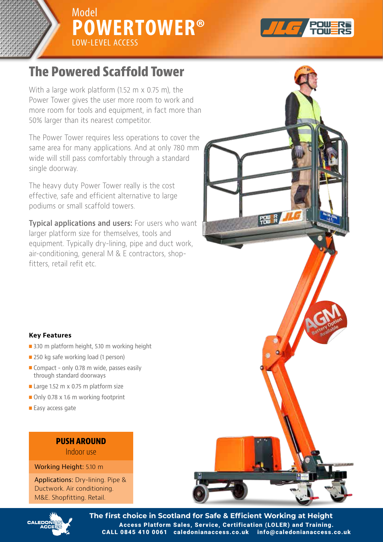



# **The Powered Scaffold Tower**

With a large work platform (1.52 m x 0.75 m), the Power lower gives the user more room to work and more room for tools and equipment, in fact more than 50% larger than its nearest competitor.

same area for many applications. And at only 780 mm wide will still pass comfortably through a standard single doorway. The standard a standard standard standard a standard standard standard standard standard standard s The Power Tower requires less operations to cover the

single doorway. effective, safe and efficient alternative to large podiums or small scaffold towers. The heavy duty Power Tower really is the cost

podiums or small scaffold towers. larger platform size for themselves, tools and equipment. Typically dry-lining, pipe and duct work, air-conditioning, general M & E contractors, shopfitters, retail refit etc. **Typical applications and users:** For users who want



- 3.10 m platform height, 5.10 m working height
- $\blacksquare$  250 kg safe working load (1 person)
- **n** Compact only 0.78 m wide, passes easily through standard doorways
- **Large 1.52 m x 0.75 m platform size**
- $\blacksquare$  Only 0.78 x 1.6 m working footprint
- $\blacksquare$  Easy access gate

### **PUSH AROUND**

**PUSH AROUNDER** 

Working Height: 5.10 m

Ductwork. Air conditioning. M&E. Shopfitting. Retail. Applications: Dry-lining. Pipe &





**The first choice in Scotland for Safe & Efficient Working at Height** Access Platform Sales, Service, Certification (LOLER) and Training.<br>0845 410 0061 caledonianaccess.co.uk info@caledonianaccess.co.uk CALL 0845 410 0061 caledonianaccess.co.uk